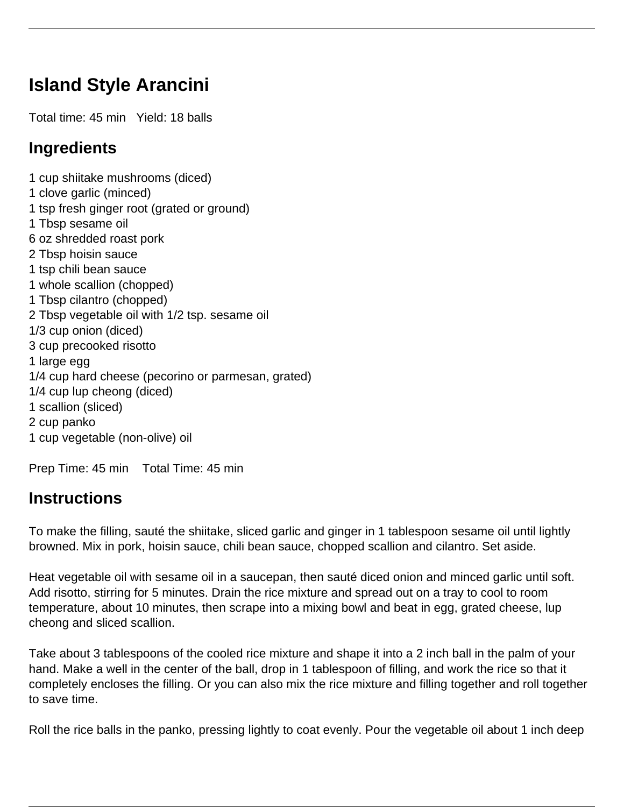## **Island Style Arancini**

Total time: 45 min Yield: 18 balls

## **Ingredients**

1 cup shiitake mushrooms (diced) 1 clove garlic (minced) 1 tsp fresh ginger root (grated or ground) 1 Tbsp sesame oil 6 oz shredded roast pork 2 Tbsp hoisin sauce 1 tsp chili bean sauce 1 whole scallion (chopped) 1 Tbsp cilantro (chopped) 2 Tbsp vegetable oil with 1/2 tsp. sesame oil 1/3 cup onion (diced) 3 cup precooked risotto 1 large egg 1/4 cup hard cheese (pecorino or parmesan, grated) 1/4 cup lup cheong (diced) 1 scallion (sliced) 2 cup panko 1 cup vegetable (non-olive) oil

Prep Time: 45 min Total Time: 45 min

## **Instructions**

To make the filling, sauté the shiitake, sliced garlic and ginger in 1 tablespoon sesame oil until lightly browned. Mix in pork, hoisin sauce, chili bean sauce, chopped scallion and cilantro. Set aside.

Heat vegetable oil with sesame oil in a saucepan, then sauté diced onion and minced garlic until soft. Add risotto, stirring for 5 minutes. Drain the rice mixture and spread out on a tray to cool to room temperature, about 10 minutes, then scrape into a mixing bowl and beat in egg, grated cheese, lup cheong and sliced scallion.

Take about 3 tablespoons of the cooled rice mixture and shape it into a 2 inch ball in the palm of your hand. Make a well in the center of the ball, drop in 1 tablespoon of filling, and work the rice so that it completely encloses the filling. Or you can also mix the rice mixture and filling together and roll together to save time.

Roll the rice balls in the panko, pressing lightly to coat evenly. Pour the vegetable oil about 1 inch deep